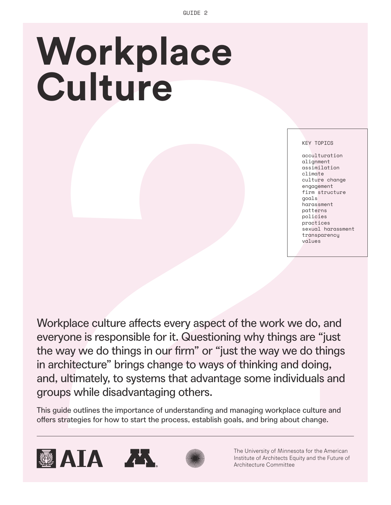# **Workplace Culture**

KEY TOPICS

acculturation alignment assimilation climate culture change engagement firm structure goals harassment patterns policies practices sexual harassment transparency values

Workplace culture affects every aspect of the work we do, and everyone is responsible for it. Questioning why things are "just the way we do things in our firm" or "just the way we do things in architecture" brings change to ways of thinking and doing, and, ultimately, to systems that advantage some individuals and groups while disadvantaging others. **Vorkplace culture affects every aspect of the work we do, and strategies for the work we do and about change.**<br> **Example 10** and the properties for the properties for how to start the way we do thing and doing, in our fir

This guide outlines the importance of understanding and managing workplace culture and









The University of Minnesota for the American Institute of Architects Equity and the Future of Architecture Committee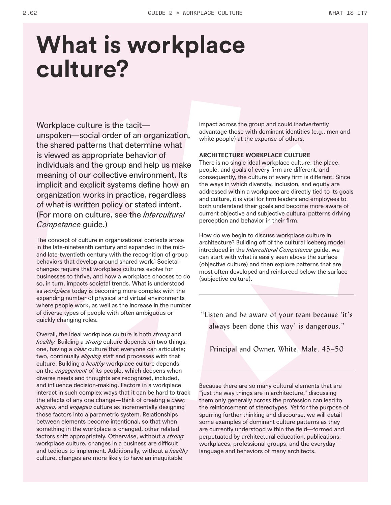## **What is workplace culture?**

Workplace culture is the tacit unspoken—social order of an organization, the shared patterns that determine what is viewed as appropriate behavior of individuals and the group and help us make meaning of our collective environment. Its implicit and explicit systems define how an organization works in practice, regardless of what is written policy or stated intent. (For more on culture, see the *Intercultural Competence* guide.)

The concept of culture in organizational contexts arose in the late-nineteenth century and expanded in the midand late-twentieth century with the recognition of group behaviors that develop around shared work.<sup>4</sup> Societal changes require that workplace cultures evolve for businesses to thrive, and how a workplace chooses to do so, in turn, impacts societal trends. What is understood as *workplace* today is becoming more complex with the expanding number of physical and virtual environments where people work, as well as the increase in the number of diverse types of people with often ambiguous or quickly changing roles.

Overall, the ideal workplace culture is both *strong* and *healthy.* Building a *strong* culture depends on two things: one, having a *clear* culture that everyone can articulate; two, continually *aligning* staff and processes with that culture. Building a *healthy* workplace culture depends on the *engagement* of its people, which deepens when diverse needs and thoughts are recognized, included, and influence decision-making. Factors in a workplace interact in such complex ways that it can be hard to track the effects of any one change—think of creating a *clear, aligned,* and *engaged* culture as incrementally designing those factors into a parametric system. Relationships between elements become intentional, so that when something in the workplace is changed, other related factors shift appropriately. Otherwise, without a *strong* workplace culture, changes in a business are difficult and tedious to implement. Additionally, without a *healthy* culture, changes are more likely to have an inequitable

impact across the group and could inadvertently advantage those with dominant identities (e.g., men and white people) at the expense of others.

#### **ARCHITECTURE WORKPLACE CULTURE**

There is no single ideal workplace culture: the place, people, and goals of every firm are different, and consequently, the culture of every firm is different. Since the ways in which diversity, inclusion, and equity are addressed within a workplace are directly tied to its goals and culture, it is vital for firm leaders and employees to both understand their goals and become more aware of current objective and subjective cultural patterns driving perception and behavior in their firm.

How do we begin to discuss workplace culture in architecture? Building off of the cultural iceberg model introduced in the *Intercultural Competence* guide, we can start with what is easily seen above the surface (objective culture) and then explore patterns that are most often developed and reinforced below the surface (subjective culture).

"Listen and be aware of your team because 'it's always been done this way' is dangerous."

Principal and Owner, White, Male, 45–50

Because there are so many cultural elements that are "just the way things are in architecture," discussing them only generally across the profession can lead to the reinforcement of stereotypes. Yet for the purpose of spurring further thinking and discourse, we will detail some examples of dominant culture patterns as they are currently understood within the field—formed and perpetuated by architectural education, publications, workplaces, professional groups, and the everyday language and behaviors of many architects.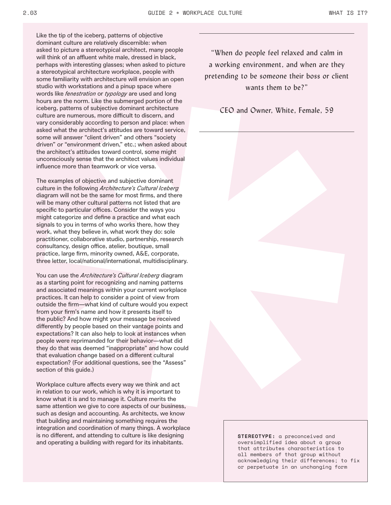Like the tip of the iceberg, patterns of objective dominant culture are relatively discernible: when asked to picture a stereotypical architect, many people will think of an affluent white male, dressed in black, perhaps with interesting glasses; when asked to picture a stereotypical architecture workplace, people with some familiarity with architecture will envision an open studio with workstations and a pinup space where words like *fenestration* or *typology* are used and long hours are the norm. Like the submerged portion of the iceberg, patterns of subjective dominant architecture culture are numerous, more difficult to discern, and vary considerably according to person and place: when asked what the architect's attitudes are toward service, some will answer "client driven" and others "society driven" or "environment driven," etc.; when asked about the architect's attitudes toward control, some might unconsciously sense that the architect values individual influence more than teamwork or vice versa.

The examples of objective and subjective dominant culture in the following *Architecture's Cultural Iceberg* diagram will not be the same for most firms, and there will be many other cultural patterns not listed that are specific to particular offices. Consider the ways you might categorize and define a practice and what each signals to you in terms of who works there, how they work, what they believe in, what work they do: sole practitioner, collaborative studio, partnership, research consultancy, design office, atelier, boutique, small practice, large firm, minority owned, A&E, corporate, three letter, local/national/international, multidisciplinary.

You can use the *Architecture's Cultural Iceberg* diagram as a starting point for recognizing and naming patterns and associated meanings within your current workplace practices. It can help to consider a point of view from outside the firm—what kind of culture would you expect from your firm's name and how it presents itself to the public? And how might your message be received differently by people based on their vantage points and expectations? It can also help to look at instances when people were reprimanded for their behavior—what did they do that was deemed "inappropriate" and how could that evaluation change based on a different cultural expectation? (For additional questions, see the "Assess" section of this guide.)

Workplace culture affects every way we think and act in relation to our work, which is why it is important to know what it is and to manage it. Culture merits the same attention we give to core aspects of our business, such as design and accounting. As architects, we know that building and maintaining something requires the integration and coordination of many things. A workplace is no different, and attending to culture is like designing and operating a building with regard for its inhabitants.

"When do people feel relaxed and calm in a working environment, and when are they pretending to be someone their boss or client wants them to be?"

CEO and Owner, White, Female, 59

**STEREOTYPE:** a preconceived and oversimplified idea about a group that attributes characteristics to all members of that group without acknowledging their differences; to fix or perpetuate in an unchanging form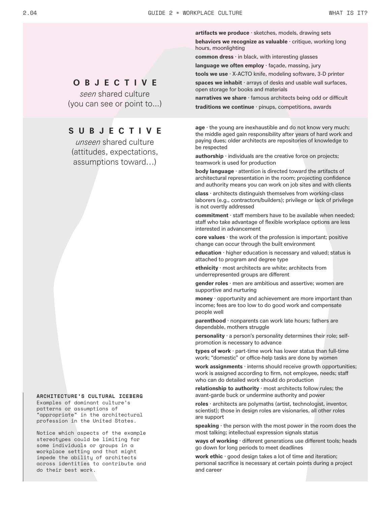**artifacts we produce** · sketches, models, drawing sets **behaviors we recognize as valuable** · critique, working long hours, moonlighting

**common dress** · in black, with interesting glasses

**language we often employ** · façade, massing, jury

**tools we use** · X-ACTO knife, modeling software, 3-D printer **spaces we inhabit** · arrays of desks and usable wall surfaces, open storage for books and materials

**narratives we share** · famous architects being odd or difficult **traditions we continue** · pinups, competitions, awards

**age** · the young are inexhaustible and do not know very much; the middle aged gain responsibility after years of hard work and paying dues; older architects are repositories of knowledge to be respected

**authorship** · individuals are the creative force on projects; teamwork is used for production

**body language** · attention is directed toward the artifacts of architectural representation in the room; projecting confidence and authority means you can work on job sites and with clients

**class** · architects distinguish themselves from working-class laborers (e.g., contractors/builders); privilege or lack of privilege is not overtly addressed

**commitment** · staff members have to be available when needed; staff who take advantage of flexible workplace options are less interested in advancement

**core values** · the work of the profession is important; positive change can occur through the built environment

**education** · higher education is necessary and valued; status is attached to program and degree type

**ethnicity** · most architects are white; architects from underrepresented groups are different

**gender roles** · men are ambitious and assertive; women are supportive and nurturing

**money** · opportunity and achievement are more important than income; fees are too low to do good work and compensate people well

**parenthood** · nonparents can work late hours; fathers are dependable, mothers struggle

**personality** · a person's personality determines their role; selfpromotion is necessary to advance

**types of work** · part-time work has lower status than full-time work; "domestic" or office-help tasks are done by women

**work assignments** · interns should receive growth opportunities; work is assigned according to firm, not employee, needs; staff who can do detailed work should do production

**relationship to authority** · most architects follow rules; the avant-garde buck or undermine authority and power

**roles** · architects are polymaths (artist, technologist, inventor, scientist); those in design roles are visionaries, all other roles are support

**speaking** · the person with the most power in the room does the most talking; intellectual expression signals status

**ways of working** · different generations use different tools; heads go down for long periods to meet deadlines

**work ethic** · good design takes a lot of time and iteration; personal sacrifice is necessary at certain points during a project and career

### **O B J E C T I V E**

*seen* shared culture (you can see or point to...)

### **SUBJECTIVE**

*unseen* shared culture (attitudes, expectations, assumptions toward…)

#### **ARCHITECTURE'S CULTURAL ICEBERG**

Examples of dominant culture's patterns or assumptions of "appropriate" in the architectural profession in the United States.

Notice which aspects of the example stereotypes could be limiting for some individuals or groups in a workplace setting and that might impede the ability of architects across identities to contribute and do their best work.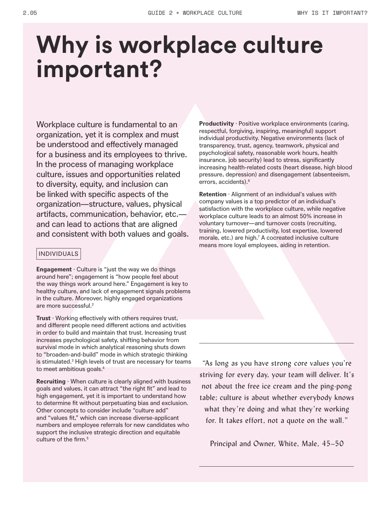## **Why is workplace culture important?**

Workplace culture is fundamental to an organization, yet it is complex and must be understood and effectively managed for a business and its employees to thrive. In the process of managing workplace culture, issues and opportunities related to diversity, equity, and inclusion can be linked with specific aspects of the organization—structure, values, physical artifacts, communication, behavior, etc. and can lead to actions that are aligned and consistent with both values and goals.

#### INDIVIDUALS

**Engagement** · Culture is "just the way we do things around here"; engagement is "how people feel about the way things work around here." Engagement is key to healthy culture, and lack of engagement signals problems in the culture. Moreover, highly engaged organizations are more successful.<sup>2</sup>

**Trust** · Working effectively with others requires trust, and different people need different actions and activities in order to build and maintain that trust. Increasing trust increases psychological safety, shifting behavior from survival mode in which analytical reasoning shuts down to "broaden-and-build" mode in which strategic thinking is stimulated.<sup>3</sup> High levels of trust are necessary for teams to meet ambitious goals.4

**Recruiting** · When culture is clearly aligned with business goals and values, it can attract "the right fit" and lead to high engagement, yet it is important to understand how to determine fit without perpetuating bias and exclusion. Other concepts to consider include "culture add" and "values fit," which can increase diverse-applicant numbers and employee referrals for new candidates who support the inclusive strategic direction and equitable culture of the firm.<sup>5</sup>

**Productivity** · Positive workplace environments (caring, respectful, forgiving, inspiring, meaningful) support individual productivity. Negative environments (lack of transparency, trust, agency, teamwork, physical and psychological safety, reasonable work hours, health insurance, job security) lead to stress, significantly increasing health-related costs (heart disease, high blood pressure, depression) and disengagement (absenteeism, errors, accidents).<sup>6</sup>

**Retention** · Alignment of an individual's values with company values is a top predictor of an individual's satisfaction with the workplace culture, while negative workplace culture leads to an almost 50% increase in voluntary turnover—and turnover costs (recruiting, training, lowered productivity, lost expertise, lowered morale, etc.) are high.<sup>7</sup> A cocreated inclusive culture means more loyal employees, aiding in retention.

"As long as you have strong core values you're striving for every day, your team will deliver. It's not about the free ice cream and the ping-pong table; culture is about whether everybody knows what they're doing and what they're working for. It takes effort, not a quote on the wall."

Principal and Owner, White, Male, 45–50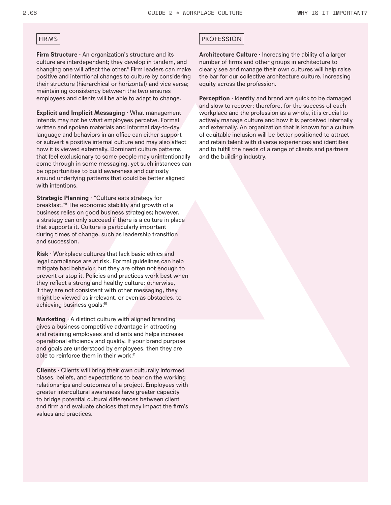**Firm Structure**  $\cdot$  An organization's structure and its culture are interdependent; they develop in tandem, and changing one will affect the other.<sup>8</sup> Firm leaders can make positive and intentional changes to culture by considering their structure (hierarchical or horizontal) and vice versa; maintaining consistency between the two ensures employees and clients will be able to adapt to change.

**Explicit and Implicit Messaging ·** What management intends may not be what employees perceive. Formal written and spoken materials and informal day-to-day language and behaviors in an office can either support or subvert a positive internal culture and may also affect how it is viewed externally. Dominant culture patterns that feel exclusionary to some people may unintentionally come through in some messaging, yet such instances can be opportunities to build awareness and curiosity around underlying patterns that could be better aligned with intentions.

risks are controlled to protect workers from physical harm **Strategic Planning · "Culture eats strategy for** breakfast."9 The economic stability and growth of a business relies on good business strategies; however, a strategy can only succeed if there is a culture in place that supports it. Culture is particularly important during times of change, such as leadership transition and succession.

**Risk ·** Workplace cultures that lack basic ethics and legal compliance are at risk. Formal guidelines can help mitigate bad behavior, but they are often not enough to prevent or stop it. Policies and practices work best when they reflect a strong and healthy culture; otherwise, if they are not consistent with other messaging, they might be viewed as irrelevant, or even as obstacles, to achieving business goals.10

**Marketing ·** A distinct culture with aligned branding gives a business competitive advantage in attracting and retaining employees and clients and helps increase operational efficiency and quality. If your brand purpose and goals are understood by employees, then they are able to reinforce them in their work.<sup>11</sup>

**Clients ·** Clients will bring their own culturally informed biases, beliefs, and expectations to bear on the working relationships and outcomes of a project. Employees with greater intercultural awareness have greater capacity to bridge potential cultural differences between client and firm and evaluate choices that may impact the firm's values and practices.

#### FIRMS PROFESSION

**Architecture Culture ·** Increasing the ability of a larger number of firms and other groups in architecture to clearly see and manage their own cultures will help raise the bar for our collective architecture culture, increasing equity across the profession.

**Perception** · Identity and brand are quick to be damaged and slow to recover; therefore, for the success of each workplace and the profession as a whole, it is crucial to actively manage culture and how it is perceived internally and externally. An organization that is known for a culture of equitable inclusion will be better positioned to attract and retain talent with diverse experiences and identities and to fulfill the needs of a range of clients and partners and the building industry.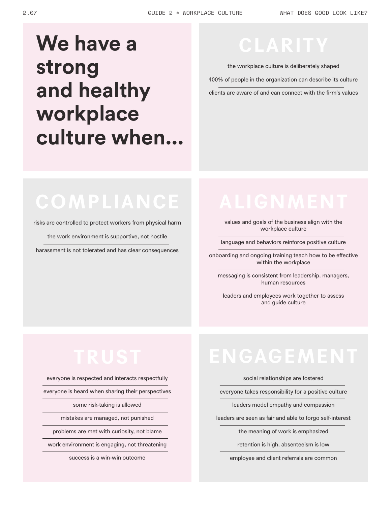### **We have a strong and healthy workplace culture when...**

### **CLARITY**

the workplace culture is deliberately shaped

100% of people in the organization can describe its culture

clients are aware of and can connect with the firm's values

### **COMPLIANCE**

risks are controlled to protect workers from physical harm

the work environment is supportive, not hostile

harassment is not tolerated and has clear consequences

values and goals of the business align with the workplace culture

language and behaviors reinforce positive culture

onboarding and ongoing training teach how to be effective within the workplace

messaging is consistent from leadership, managers, human resources

leaders and employees work together to assess and guide culture

everyone is respected and interacts respectfully

everyone is heard when sharing their perspectives

some risk-taking is allowed

mistakes are managed, not punished

problems are met with curiosity, not blame

work environment is engaging, not threatening

success is a win-win outcome

### **ENGAGEMENT**

#### social relationships are fostered

everyone takes responsibility for a positive culture

leaders model empathy and compassion

leaders are seen as fair and able to forgo self-interest

the meaning of work is emphasized

retention is high, absenteeism is low

employee and client referrals are common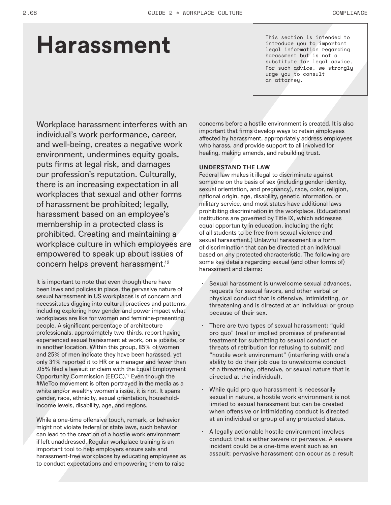## **Harassment**

This section is intended to introduce you to important legal information regarding harassment but is not a substitute for legal advice. For such advice, we strongly urge you to consult an attorney.

Workplace harassment interferes with an individual's work performance, career, and well-being, creates a negative work environment, undermines equity goals, puts firms at legal risk, and damages our profession's reputation. Culturally, there is an increasing expectation in all workplaces that sexual and other forms of harassment be prohibited; legally, harassment based on an employee's membership in a protected class is prohibited. Creating and maintaining a workplace culture in which employees are empowered to speak up about issues of concern helps prevent harassment.12

It is important to note that even though there have been laws and policies in place, the pervasive nature of sexual harassment in US workplaces is of concern and necessitates digging into cultural practices and patterns, including exploring how gender and power impact what workplaces are like for women and feminine-presenting people. A significant percentage of architecture professionals, approximately two-thirds, report having experienced sexual harassment at work, on a jobsite, or in another location. Within this group, 85% of women and 25% of men indicate they have been harassed, yet only 31% reported it to HR or a manager and fewer than .05% filed a lawsuit or claim with the Equal Employment Opportunity Commission (EEOC).13 Even though the #MeToo movement is often portrayed in the media as a white and/or wealthy women's issue, it is not. It spans gender, race, ethnicity, sexual orientation, householdincome levels, disability, age, and regions.

While a one-time offensive touch, remark, or behavior might not violate federal or state laws, such behavior can lead to the creation of a hostile work environment if left unaddressed. Regular workplace training is an important tool to help employers ensure safe and harassment-free workplaces by educating employees as to conduct expectations and empowering them to raise

concerns before a hostile environment is created. It is also important that firms develop ways to retain employees affected by harassment, appropriately address employees who harass, and provide support to all involved for healing, making amends, and rebuilding trust.

#### **UNDERSTAND THE LAW**

Federal law makes it illegal to discriminate against someone on the basis of sex (including gender identity, sexual orientation, and pregnancy), race, color, religion, national origin, age, disability, genetic information, or military service, and most states have additional laws prohibiting discrimination in the workplace. (Educational institutions are governed by Title IX, which addresses equal opportunity in education, including the right of all students to be free from sexual violence and sexual harassment.) Unlawful harassment is a form of discrimination that can be directed at an individual based on any protected characteristic. The following are some key details regarding sexual (and other forms of) harassment and claims:

- Sexual harassment is unwelcome sexual advances, requests for sexual favors, and other verbal or physical conduct that is offensive, intimidating, or threatening and is directed at an individual or group because of their sex.
- There are two types of sexual harassment: "quid pro quo" (real or implied promises of preferential treatment for submitting to sexual conduct or threats of retribution for refusing to submit) and "hostile work environment" (interfering with one's ability to do their job due to unwelcome conduct of a threatening, offensive, or sexual nature that is directed at the individual).
- While quid pro quo harassment is necessarily sexual in nature, a hostile work environment is not limited to sexual harassment but can be created when offensive or intimidating conduct is directed at an individual or group of any protected status.
- A legally actionable hostile environment involves conduct that is either severe or pervasive. A severe incident could be a one-time event such as an assault; pervasive harassment can occur as a result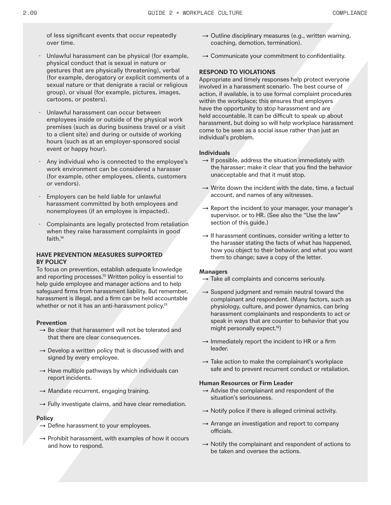of less significant events that occur repeatedly over time.

- Unlawful harassment can be physical (for example, physical conduct that is sexual in nature or gestures that are physically threatening), verbal (for example, derogatory or explicit comments of a sexual nature or that denigrate a racial or religious group), or visual (for example, pictures, images, cartoons, or posters).
- Unlawful harassment can occur between employees inside or outside of the physical work premises (such as during business travel or a visit to a client site) and during or outside of working hours (such as at an employer-sponsored social event or happy hour).
- · Any individual who is connected to the employee's work environment can be considered a harasser (for example, other employees, clients, customers or vendors).
- Employers can be held liable for unlawful harassment committed by both employees and nonemployees (if an employee is impacted).
- Complainants are legally protected from retaliation when they raise harassment complaints in good faith.14

#### **HAVE PREVENTION MEASURES SUPPORTED BY POLICY**

To focus on prevention, establish adequate knowledge and reporting processes.<sup>15</sup> Written policy is essential to help guide employee and manager actions and to help safeguard firms from harassment liability. But remember, harassment is illegal, and a firm can be held accountable whether or not it has an anti-harassment policy.<sup>15</sup>

#### **Prevention**

- $\rightarrow$  Be clear that harassment will not be tolerated and that there are clear consequences.
- $\rightarrow$  Develop a written policy that is discussed with and signed by every employee.
- $\rightarrow$  Have multiple pathways by which individuals can report incidents.
- $\rightarrow$  Mandate recurrent, engaging training.
- $\rightarrow$  Fully investigate claims, and have clear remediation.

#### **Policy**

- $\rightarrow$  Define harassment to your employees.
- $\rightarrow$  Prohibit harassment, with examples of how it occurs and how to respond.
- $\rightarrow$  Outline disciplinary measures (e.g., written warning, coaching, demotion, termination).
- $\rightarrow$  Communicate your commitment to confidentiality.

#### **RESPOND TO VIOLATIONS**

Appropriate and timely responses help protect everyone involved in a harassment scenario. The best course of action, if available, is to use formal complaint procedures within the workplace; this ensures that employers have the opportunity to stop harassment and are held accountable. It can be difficult to speak up about harassment, but doing so will help workplace harassment come to be seen as a social issue rather than just an individual's problem.

#### **Individuals**

- $\rightarrow$  If possible, address the situation immediately with the harasser; make it clear that you find the behavior unacceptable and that it must stop.
- $\rightarrow$  Write down the incident with the date, time, a factual account, and names of any witnesses.
- $\rightarrow$  Report the incident to your manager, your manager's supervisor, or to HR. (See also the "Use the law" section of this guide.)
- $\rightarrow$  If harassment continues, consider writing a letter to the harasser stating the facts of what has happened, how you object to their behavior, and what you want them to change; save a copy of the letter.

#### **Managers**

- $\rightarrow$  Take all complaints and concerns seriously.
- $\rightarrow$  Suspend judgment and remain neutral toward the complainant and respondent. (Many factors, such as physiology, culture, and power dynamics, can bring harassment complainants and respondents to act or speak in ways that are counter to behavior that you might personally expect.16)
- $\rightarrow$  Immediately report the incident to HR or a firm leader.
- $\rightarrow$  Take action to make the complainant's workplace safe and to prevent recurrent conduct or retaliation.

#### **Human Resources or Firm Leader**

- $\rightarrow$  Advise the complainant and respondent of the situation's seriousness.
- $\rightarrow$  Notify police if there is alleged criminal activity.
- $\rightarrow$  Arrange an investigation and report to company officials.
- $\rightarrow$  Notify the complainant and respondent of actions to be taken and oversee the actions.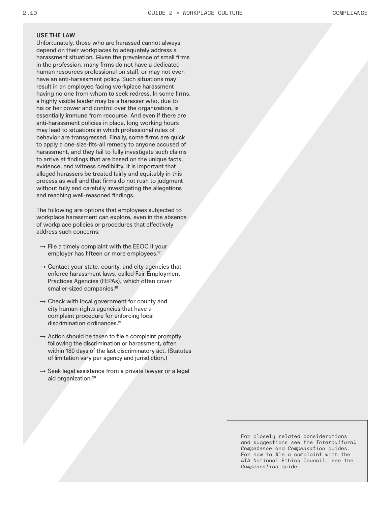#### **USE THE LAW**

Unfortunately, those who are harassed cannot always depend on their workplaces to adequately address a harassment situation. Given the prevalence of small firms in the profession, many firms do not have a dedicated human resources professional on staff, or may not even have an anti-harassment policy. Such situations may result in an employee facing workplace harassment having no one from whom to seek redress. In some firms, a highly visible leader may be a harasser who, due to his or her power and control over the organization, is essentially immune from recourse. And even if there are anti-harassment policies in place, long working hours may lead to situations in which professional rules of behavior are transgressed. Finally, some firms are quick to apply a one-size-fits-all remedy to anyone accused of harassment, and they fail to fully investigate such claims to arrive at findings that are based on the unique facts, evidence, and witness credibility. It is important that alleged harassers be treated fairly and equitably in this process as well and that firms do not rush to judgment without fully and carefully investigating the allegations and reaching well-reasoned findings.

The following are options that employees subjected to workplace harassment can explore, even in the absence of workplace policies or procedures that effectively address such concerns:

- $\rightarrow$  File a timely complaint with the EEOC if your employer has fifteen or more employees.<sup>17</sup>
- $\rightarrow$  Contact your state, county, and city agencies that enforce harassment laws, called Fair Employment Practices Agencies (FEPAs), which often cover smaller-sized companies.<sup>18</sup>
- $\rightarrow$  Check with local government for county and city human-rights agencies that have a complaint procedure for enforcing local discrimination ordinances.19
- $\rightarrow$  Action should be taken to file a complaint promptly following the discrimination or harassment, often within 180 days of the last discriminatory act. (Statutes of limitation vary per agency and jurisdiction.)
- $\rightarrow$  Seek legal assistance from a private lawyer or a legal aid organization.20

For closely related considerations and suggestions see the *Intercultural Competence* and *Compensation* guides. For how to file a complaint with the AIA National Ethics Council, see the *Compensation* guide.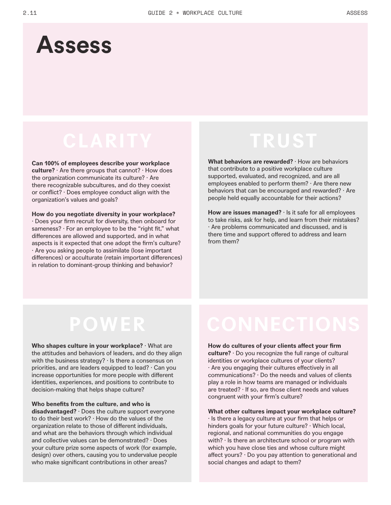### **Assess**

**Can 100% of employees describe your workplace culture?** · Are there groups that cannot? · How does the organization communicate its culture? · Are there recognizable subcultures, and do they coexist or conflict? · Does employee conduct align with the organization's values and goals?

**How do you negotiate diversity in your workplace?**  · Does your firm recruit for diversity, then onboard for sameness?  $\cdot$  For an employee to be the "right fit," what differences are allowed and supported, and in what aspects is it expected that one adopt the firm's culture? · Are you asking people to assimilate (lose important differences) or acculturate (retain important differences) in relation to dominant-group thinking and behavior?

### **TRUST**

**What behaviors are rewarded?** · How are behaviors that contribute to a positive workplace culture supported, evaluated, and recognized, and are all employees enabled to perform them? · Are there new behaviors that can be encouraged and rewarded? · Are people held equally accountable for their actions?

**How are issues managed?** · Is it safe for all employees to take risks, ask for help, and learn from their mistakes? · Are problems communicated and discussed, and is there time and support offered to address and learn from them?

### **POWER**

**Who shapes culture in your workplace?** · What are the attitudes and behaviors of leaders, and do they align with the business strategy? · Is there a consensus on priorities, and are leaders equipped to lead? · Can you increase opportunities for more people with different identities, experiences, and positions to contribute to decision-making that helps shape culture?

**Who benefits from the culture, and who is disadvantaged?** · Does the culture support everyone to do their best work? · How do the values of the organization relate to those of different individuals, and what are the behaviors through which individual and collective values can be demonstrated? · Does your culture prize some aspects of work (for example, design) over others, causing you to undervalue people who make significant contributions in other areas?

**How do cultures of your clients affect your firm culture?** · Do you recognize the full range of cultural identities or workplace cultures of your clients? · Are you engaging their cultures effectively in all communications? · Do the needs and values of clients play a role in how teams are managed or individuals are treated? · If so, are those client needs and values congruent with your firm's culture?

**What other cultures impact your workplace culture?** · Is there a legacy culture at your firm that helps or hinders goals for your future culture? · Which local, regional, and national communities do you engage with?  $\cdot$  Is there an architecture school or program with which you have close ties and whose culture might affect yours? · Do you pay attention to generational and social changes and adapt to them?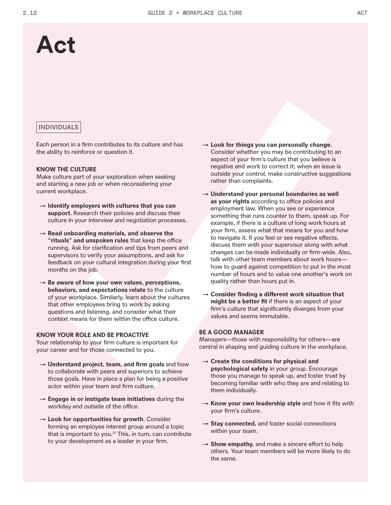### **Act**

#### INDIVIDUALS

Each person in a firm contributes to its culture and has the ability to reinforce or question it.

#### **KNOW THE CULTURE**

Make culture part of your exploration when seeking and starting a new job or when reconsidering your current workplace.

- → **Identify employers with cultures that you can support.** Research their policies and discuss their culture in your interview and negotiation processes.
- → **Read onboarding materials, and observe the "rituals" and unspoken rules** that keep the office running. Ask for clarification and tips from peers and supervisors to verify your assumptions, and ask for feedback on your cultural integration during your first months on the job.
- → **Be aware of how your own values, perceptions, behaviors, and expectations relate** to the culture of your workplace. Similarly, learn about the cultures that other employees bring to work by asking questions and listening, and consider what their context means for them within the office culture.

#### **KNOW YOUR ROLE AND BE PROACTIVE**

Your relationship to your firm culture is important for your career and for those connected to you.

- → **Understand project, team, and firm goals** and how to collaborate with peers and superiors to achieve those goals. Have in place a plan for being a positive actor within your team and firm culture.
- → **Engage in or instigate team initiatives** during the workday and outside of the office.
- → **Look for opportunities for growth**. Consider forming an employee interest group around a topic that is important to you. $21$  This, in turn, can contribute to your development as a leader in your firm.
- → **Look for things you can personally change.**  Consider whether you may be contributing to an aspect of your firm's culture that you believe is negative and work to correct it; when an issue is outside your control, make constructive suggestions rather than complaints.
- → **Understand your personal boundaries as well as your rights** according to office policies and employment law. When you see or experience something that runs counter to them, speak up. For example, if there is a culture of long work hours at your firm, assess what that means for you and how to navigate it. If you feel or see negative effects, discuss them with your supervisor along with what changes can be made individually or firm-wide. Also, talk with other team members about work hours how to guard against competition to put in the most number of hours and to value one another's work on quality rather than hours put in.
- → **Consider finding a different work situation that might be a better fit** if there is an aspect of your firm's culture that significantly diverges from your values and seems immutable.

#### **BE A GOOD MANAGER**

Managers—those with responsibility for others—are central in shaping and guiding culture in the workplace.

- → **Create the conditions for physical and psychological safety** in your group. Encourage those you manage to speak up, and foster trust by becoming familiar with who they are and relating to them individually.
- → **Know your own leadership style** and how it fits with your firm's culture.
- → Stay connected, and foster social connections within your team.
- $\rightarrow$  **Show empathy,** and make a sincere effort to help others. Your team members will be more likely to do the same.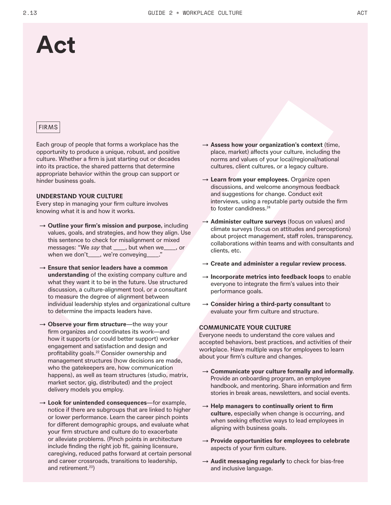### **Act**

#### FIRMS

Each group of people that forms a workplace has the opportunity to produce a unique, robust, and positive culture. Whether a firm is just starting out or decades into its practice, the shared patterns that determine appropriate behavior within the group can support or hinder business goals.

#### **UNDERSTAND YOUR CULTURE**

Every step in managing your firm culture involves knowing what it is and how it works.

- → **Outline your firm's mission and purpose,** including values, goals, and strategies, and how they align. Use this sentence to check for misalignment or mixed messages: "We *say* that \_\_\_\_, but when we\_\_\_\_, or when we don't\_\_\_, we're conveying\_\_\_\_."
- → **Ensure that senior leaders have a common understanding** of the existing company culture and what they want it to be in the future. Use structured discussion, a culture-alignment tool, or a consultant to measure the degree of alignment between individual leadership styles and organizational culture to determine the impacts leaders have.
- → **Observe your firm structure**—the way your firm organizes and coordinates its work—and how it supports (or could better support) worker engagement and satisfaction and design and profitability goals.<sup>22</sup> Consider ownership and management structures (how decisions are made, who the gatekeepers are, how communication happens), as well as team structures (studio, matrix, market sector, gig, distributed) and the project delivery models you employ.
- → **Look for unintended consequences**—for example, notice if there are subgroups that are linked to higher or lower performance. Learn the career pinch points for different demographic groups, and evaluate what your firm structure and culture do to exacerbate or alleviate problems. (Pinch points in architecture include finding the right job fit, gaining licensure, caregiving, reduced paths forward at certain personal and career crossroads, transitions to leadership, and retirement.<sup>23</sup>)
- → **Assess how your organization's context** (time, place, market) affects your culture, including the norms and values of your local/regional/national cultures, client cultures, or a legacy culture.
- → **Learn from your employees.** Organize open discussions, and welcome anonymous feedback and suggestions for change. Conduct exit interviews, using a reputable party outside the firm to foster candidness.<sup>24</sup>
- → **Administer culture surveys** (focus on values) and climate surveys (focus on attitudes and perceptions) about project management, staff roles, transparency, collaborations within teams and with consultants and clients, etc.
- → **Create and administer a regular review process**.
- → **Incorporate metrics into feedback loops** to enable everyone to integrate the firm's values into their performance goals.
- → **Consider hiring a third-party consultant** to evaluate your firm culture and structure.

#### **COMMUNICATE YOUR CULTURE**

Everyone needs to understand the core values and accepted behaviors, best practices, and activities of their workplace. Have multiple ways for employees to learn about your firm's culture and changes.

- → **Communicate your culture formally and informally.**  Provide an onboarding program, an employee handbook, and mentoring. Share information and firm stories in break areas, newsletters, and social events.
- → **Help managers to continually orient to firm culture,** especially when change is occurring, and when seeking effective ways to lead employees in aligning with business goals.
- → **Provide opportunities for employees to celebrate** aspects of your firm culture.
- → **Audit messaging regularly** to check for bias-free and inclusive language.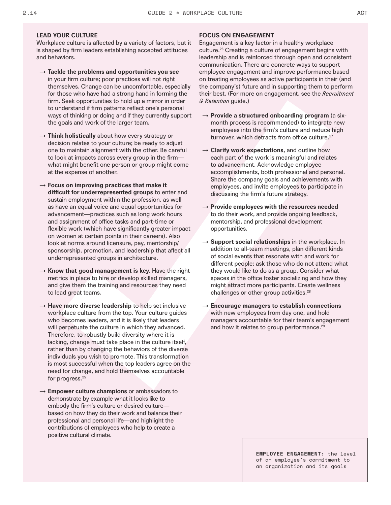#### **LEAD YOUR CULTURE**

Workplace culture is affected by a variety of factors, but it is shaped by firm leaders establishing accepted attitudes and behaviors.

- → **Tackle the problems and opportunities you see** in your firm culture; poor practices will not right themselves. Change can be uncomfortable, especially for those who have had a strong hand in forming the firm. Seek opportunities to hold up a mirror in order to understand if firm patterns reflect one's personal ways of thinking or doing and if they currently support the goals and work of the larger team.
- → **Think holistically** about how every strategy or decision relates to your culture; be ready to adjust one to maintain alignment with the other. Be careful to look at impacts across every group in the firm what might benefit one person or group might come at the expense of another.
- → **Focus on improving practices that make it difficult for underrepresented groups** to enter and sustain employment within the profession, as well as have an equal voice and equal opportunities for advancement—practices such as long work hours and assignment of office tasks and part-time or flexible work (which have significantly greater impact on women at certain points in their careers). Also look at norms around licensure, pay, mentorship/ sponsorship, promotion, and leadership that affect all underrepresented groups in architecture.
- $\rightarrow$  Know that good management is key. Have the right metrics in place to hire or develop skilled managers, and give them the training and resources they need to lead great teams.
- → **Have more diverse leadership** to help set inclusive workplace culture from the top. Your culture guides who becomes leaders, and it is likely that leaders will perpetuate the culture in which they advanced. Therefore, to robustly build diversity where it is lacking, change must take place in the culture itself, rather than by changing the behaviors of the diverse individuals you wish to promote. This transformation is most successful when the top leaders agree on the need for change, and hold themselves accountable for progress.25
- → **Empower culture champions** or ambassadors to demonstrate by example what it looks like to embody the firm's culture or desired culture based on how they do their work and balance their professional and personal life—and highlight the contributions of employees who help to create a positive cultural climate.

#### **FOCUS ON ENGAGEMENT**

Engagement is a key factor in a healthy workplace culture.26 Creating a culture of engagement begins with leadership and is reinforced through open and consistent communication. There are concrete ways to support employee engagement and improve performance based on treating employees as active participants in their (and the company's) future and in supporting them to perform their best. (For more on engagement, see the *Recruitment & Retention* guide.)

- → **Provide a structured onboarding program** (a sixmonth process is recommended) to integrate new employees into the firm's culture and reduce high turnover, which detracts from office culture.<sup>27</sup>
- → **Clarify work expectations,** and outline how each part of the work is meaningful and relates to advancement. Acknowledge employee accomplishments, both professional and personal. Share the company goals and achievements with employees, and invite employees to participate in discussing the firm's future strategy.
- → **Provide employees with the resources needed** to do their work, and provide ongoing feedback, mentorship, and professional development opportunities.
- → **Support social relationships** in the workplace. In addition to all-team meetings, plan different kinds of social events that resonate with and work for different people; ask those who do not attend what they would like to do as a group. Consider what spaces in the office foster socializing and how they might attract more participants. Create wellness challenges or other group activities.<sup>28</sup>
- → **Encourage managers to establish connections** with new employees from day one, and hold managers accountable for their team's engagement and how it relates to group performance.<sup>29</sup>

**EMPLOYEE ENGAGEMENT:** the level of an employee's commitment to an organization and its goals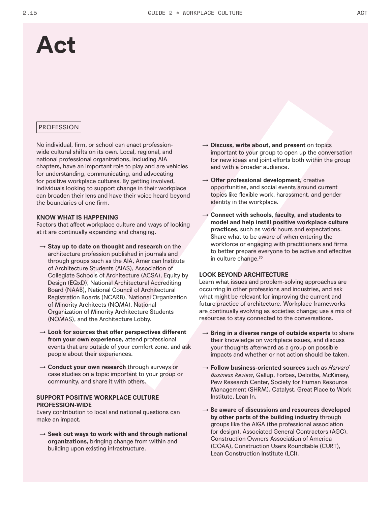### **Act**

#### PROFESSION

No individual, firm, or school can enact professionwide cultural shifts on its own. Local, regional, and national professional organizations, including AIA chapters, have an important role to play and are vehicles for understanding, communicating, and advocating for positive workplace cultures. By getting involved, individuals looking to support change in their workplace can broaden their lens and have their voice heard beyond the boundaries of one firm.

#### **KNOW WHAT IS HAPPENING**

Factors that affect workplace culture and ways of looking at it are continually expanding and changing.

- → **Stay up to date on thought and research** on the architecture profession published in journals and through groups such as the AIA, American Institute of Architecture Students (AIAS), Association of Collegiate Schools of Architecture (ACSA), Equity by Design (EQxD), National Architectural Accrediting Board (NAAB), National Council of Architectural Registration Boards (NCARB), National Organization of Minority Architects (NOMA), National Organization of Minority Architecture Students (NOMAS), and the Architecture Lobby.
- → **Look for sources that offer perspectives different from your own experience,** attend professional events that are outside of your comfort zone, and ask people about their experiences.
- → **Conduct your own research** through surveys or case studies on a topic important to your group or community, and share it with others.

#### **SUPPORT POSITIVE WORKPLACE CULTURE PROFESSION-WIDE**

Every contribution to local and national questions can make an impact.

→ **Seek out ways to work with and through national organizations,** bringing change from within and building upon existing infrastructure.

- → **Discuss, write about, and present** on topics important to your group to open up the conversation for new ideas and joint efforts both within the group and with a broader audience.
- → **Offer professional development,** creative opportunities, and social events around current topics like flexible work, harassment, and gender identity in the workplace.
- → **Connect with schools, faculty, and students to model and help instill positive workplace culture practices,** such as work hours and expectations. Share what to be aware of when entering the workforce or engaging with practitioners and firms to better prepare everyone to be active and effective in culture change.30

#### **LOOK BEYOND ARCHITECTURE**

Learn what issues and problem-solving approaches are occurring in other professions and industries, and ask what might be relevant for improving the current and future practice of architecture. Workplace frameworks are continually evolving as societies change; use a mix of resources to stay connected to the conversations.

- → **Bring in a diverse range of outside experts** to share their knowledge on workplace issues, and discuss your thoughts afterward as a group on possible impacts and whether or not action should be taken.
- → **Follow business-oriented sources** such as *Harvard Business Review*, Gallup, Forbes, Deloitte, McKinsey, Pew Research Center, Society for Human Resource Management (SHRM), Catalyst, Great Place to Work Institute, Lean In.
- → **Be aware of discussions and resources developed by other parts of the building industry** through groups like the AIGA (the professional association for design), Associated General Contractors (AGC), Construction Owners Association of America (COAA), Construction Users Roundtable (CURT), Lean Construction Institute (LCI).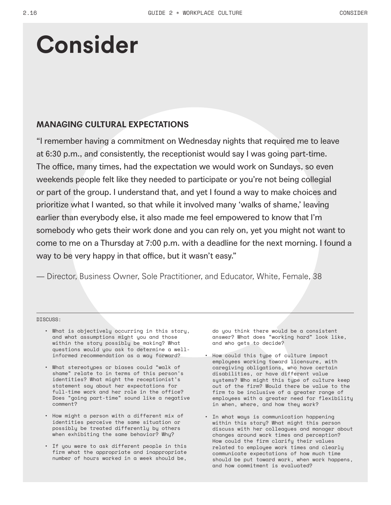#### **MANAGING CULTURAL EXPECTATIONS**

"I remember having a commitment on Wednesday nights that required me to leave at 6:30 p.m., and consistently, the receptionist would say I was going part-time. The office, many times, had the expectation we would work on Sundays, so even weekends people felt like they needed to participate or you're not being collegial or part of the group. I understand that, and yet I found a way to make choices and prioritize what I wanted, so that while it involved many 'walks of shame,' leaving earlier than everybody else, it also made me feel empowered to know that I'm somebody who gets their work done and you can rely on, yet you might not want to come to me on a Thursday at 7:00 p.m. with a deadline for the next morning. I found a way to be very happy in that office, but it wasn't easy."

— Director, Business Owner, Sole Practitioner, and Educator, White, Female, 38

DISCUSS:

- What is objectively occurring in this story, and what assumptions might you and those within the story possibly be making? What questions would you ask to determine a wellinformed recommendation as a way forward?
- What stereotypes or biases could "walk of shame" relate to in terms of this person's identities? What might the receptionist's statement say about her expectations for full-time work and her role in the office? Does "going part-time" sound like a negative comment?
- How might a person with a different mix of identities perceive the same situation or possibly be treated differently by others when exhibiting the same behavior? Why?
- If you were to ask different people in this firm what the appropriate and inappropriate number of hours worked in a week should be,

do you think there would be a consistent answer? What does "working hard" look like, and who gets to decide?

- How could this type of culture impact employees working toward licensure, with caregiving obligations, who have certain disabilities, or have different value systems? Who might this type of culture keep out of the firm? Would there be value to the firm to be inclusive of a greater range of employees with a greater need for flexibility in when, where, and how they work?
- In what ways is communication happening within this story? What might this person discuss with her colleagues and manager about changes around work times and perception? How could the firm clarify their values related to employee work times and clearly communicate expectations of how much time should be put toward work, when work happens, and how commitment is evaluated?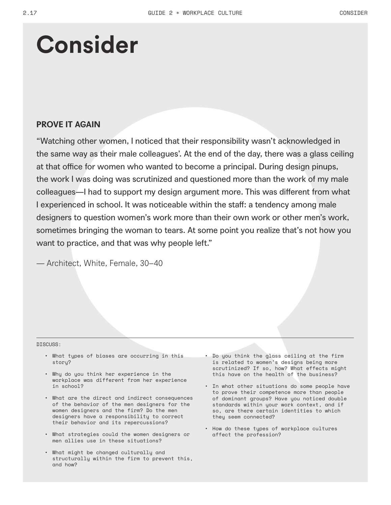#### **PROVE IT AGAIN**

"Watching other women, I noticed that their responsibility wasn't acknowledged in the same way as their male colleagues'. At the end of the day, there was a glass ceiling at that office for women who wanted to become a principal. During design pinups, the work I was doing was scrutinized and questioned more than the work of my male colleagues—I had to support my design argument more. This was different from what I experienced in school. It was noticeable within the staff: a tendency among male designers to question women's work more than their own work or other men's work, sometimes bringing the woman to tears. At some point you realize that's not how you want to practice, and that was why people left."

— Architect, White, Female, 30–40

#### DISCUSS:

- What types of biases are occurring in this story?
- Why do you think her experience in the workplace was different from her experience in school?
- What are the direct and indirect consequences of the behavior of the men designers for the women designers and the firm? Do the men designers have a responsibility to correct their behavior and its repercussions?
- What strategies could the women designers or men allies use in these situations?
- What might be changed culturally and structurally within the firm to prevent this, and how?
- Do you think the glass ceiling at the firm is related to women's designs being more scrutinized? If so, how? What effects might this have on the health of the business?
- In what other situations do some people have to prove their competence more than people of dominant groups? Have you noticed double standards within your work context, and if so, are there certain identities to which they seem connected?
- How do these types of workplace cultures affect the profession?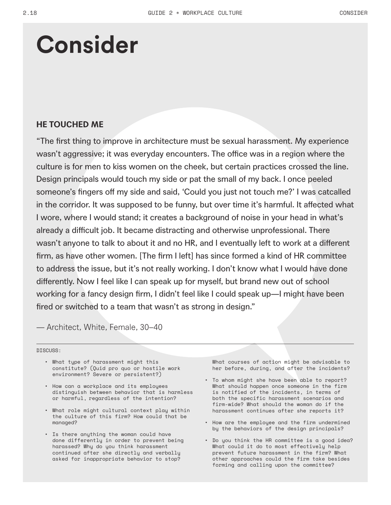### **HE TOUCHED ME**

"The first thing to improve in architecture must be sexual harassment. My experience wasn't aggressive; it was everyday encounters. The office was in a region where the culture is for men to kiss women on the cheek, but certain practices crossed the line. Design principals would touch my side or pat the small of my back. I once peeled someone's fingers off my side and said, 'Could you just not touch me?' I was catcalled in the corridor. It was supposed to be funny, but over time it's harmful. It affected what I wore, where I would stand; it creates a background of noise in your head in what's already a difficult job. It became distracting and otherwise unprofessional. There wasn't anyone to talk to about it and no HR, and I eventually left to work at a different firm, as have other women. [The firm I left] has since formed a kind of HR committee to address the issue, but it's not really working. I don't know what I would have done differently. Now I feel like I can speak up for myself, but brand new out of school working for a fancy design firm, I didn't feel like I could speak up—I might have been fired or switched to a team that wasn't as strong in design."

— Architect, White, Female, 30–40

DISCUSS:

- What type of harassment might this constitute? (Quid pro quo or hostile work environment? Severe or persistent?)
- How can a workplace and its employees distinguish between behavior that is harmless or harmful, regardless of the intention?
- What role might cultural context play within the culture of this firm? How could that be managed?
- Is there anything the woman could have done differently in order to prevent being harassed? Why do you think harassment continued after she directly and verbally asked for inappropriate behavior to stop?

What courses of action might be advisable to her before, during, and after the incidents?

- To whom might she have been able to report? What should happen once someone in the firm is notified of the incidents, in terms of both the specific harassment scenarios and firm-wide? What should the woman do if the harassment continues after she reports it?
- How are the employee and the firm undermined by the behaviors of the design principals?
- Do you think the HR committee is a good idea? What could it do to most effectively help prevent future harassment in the firm? What other approaches could the firm take besides forming and calling upon the committee?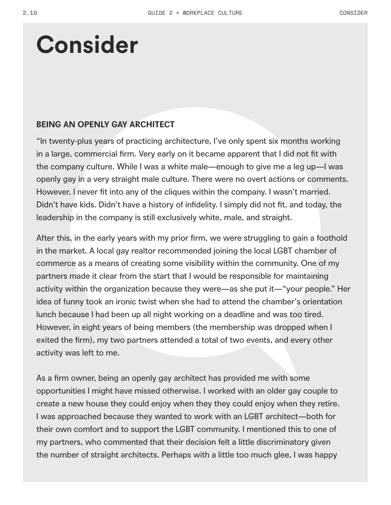### **BEING AN OPENLY GAY ARCHITECT**

"In twenty-plus years of practicing architecture, I've only spent six months working in a large, commercial firm. Very early on it became apparent that I did not fit with the company culture. While I was a white male—enough to give me a leg up—I was openly gay in a very straight male culture. There were no overt actions or comments. However, I never fit into any of the cliques within the company. I wasn't married. Didn't have kids. Didn't have a history of infidelity. I simply did not fit, and today, the leadership in the company is still exclusively white, male, and straight.

After this, in the early years with my prior firm, we were struggling to gain a foothold in the market. A local gay realtor recommended joining the local LGBT chamber of commerce as a means of creating some visibility within the community. One of my partners made it clear from the start that I would be responsible for maintaining activity within the organization because they were—as she put it—"your people." Her idea of funny took an ironic twist when she had to attend the chamber's orientation lunch because I had been up all night working on a deadline and was too tired. However, in eight years of being members (the membership was dropped when I exited the firm), my two partners attended a total of two events, and every other activity was left to me.

As a firm owner, being an openly gay architect has provided me with some opportunities I might have missed otherwise. I worked with an older gay couple to create a new house they could enjoy when they they could enjoy when they retire. I was approached because they wanted to work with an LGBT architect—both for their own comfort and to support the LGBT community. I mentioned this to one of my partners, who commented that their decision felt a little discriminatory given the number of straight architects. Perhaps with a little too much glee, I was happy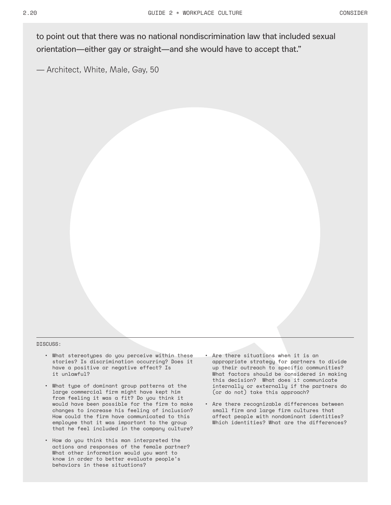to point out that there was no national nondiscrimination law that included sexual orientation—either gay or straight—and she would have to accept that."

— Architect, White, Male, Gay, 50

#### DISCUSS:

- What stereotypes do you perceive within these stories? Is discrimination occurring? Does it have a positive or negative effect? Is it unlawful?
- What type of dominant group patterns at the large commercial firm might have kept him from feeling it was a fit? Do you think it would have been possible for the firm to make changes to increase his feeling of inclusion? How could the firm have communicated to this employee that it was important to the group that he feel included in the company culture?
- How do you think this man interpreted the actions and responses of the female partner? What other information would you want to know in order to better evaluate people's behaviors in these situations?
- Are there situations when it is an appropriate strategy for partners to divide up their outreach to specific communities? What factors should be considered in making this decision? What does it communicate internally or externally if the partners do (or do not) take this approach?
- Are there recognizable differences between small firm and large firm cultures that affect people with nondominant identities? Which identities? What are the differences?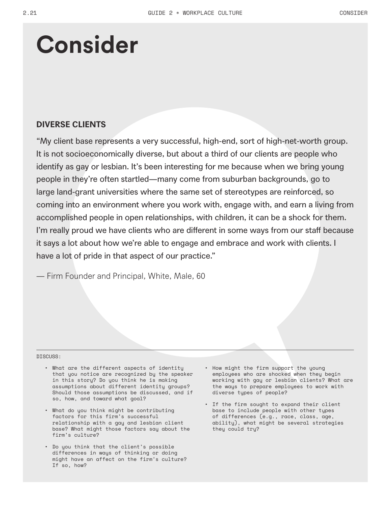### **DIVERSE CLIENTS**

"My client base represents a very successful, high-end, sort of high-net-worth group. It is not socioeconomically diverse, but about a third of our clients are people who identify as gay or lesbian. It's been interesting for me because when we bring young people in they're often startled—many come from suburban backgrounds, go to large land-grant universities where the same set of stereotypes are reinforced, so coming into an environment where you work with, engage with, and earn a living from accomplished people in open relationships, with children, it can be a shock for them. I'm really proud we have clients who are different in some ways from our staff because it says a lot about how we're able to engage and embrace and work with clients. I have a lot of pride in that aspect of our practice."

— Firm Founder and Principal, White, Male, 60

#### DISCUSS:

- What are the different aspects of identity that you notice are recognized by the speaker in this story? Do you think he is making assumptions about different identity groups? Should those assumptions be discussed, and if so, how, and toward what goal?
- What do you think might be contributing factors for this firm's successful relationship with a gay and lesbian client base? What might those factors say about the firm's culture?
- Do you think that the client's possible differences in ways of thinking or doing might have an affect on the firm's culture? If so, how?
- How might the firm support the young employees who are shocked when they begin working with gay or lesbian clients? What are the ways to prepare employees to work with diverse types of people?
- If the firm sought to expand their client base to include people with other types of differences (e.g., race, class, age, ability), what might be several strategies they could try?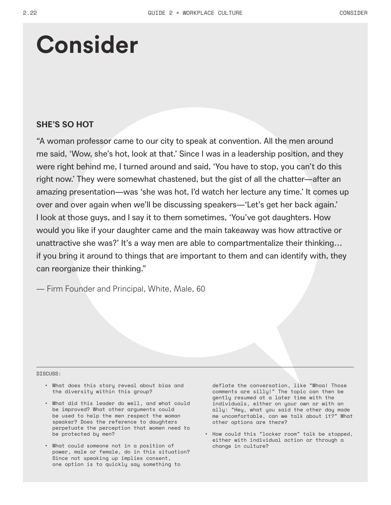#### **SHE'S SO HOT**

"A woman professor came to our city to speak at convention. All the men around me said, 'Wow, she's hot, look at that.' Since I was in a leadership position, and they were right behind me, I turned around and said, 'You have to stop, you can't do this right now.' They were somewhat chastened, but the gist of all the chatter—after an amazing presentation—was 'she was hot, I'd watch her lecture any time.' It comes up over and over again when we'll be discussing speakers—'Let's get her back again.' I look at those guys, and I say it to them sometimes, 'You've got daughters. How would you like if your daughter came and the main takeaway was how attractive or unattractive she was?' It's a way men are able to compartmentalize their thinking… if you bring it around to things that are important to them and can identify with, they can reorganize their thinking."

— Firm Founder and Principal, White, Male, 60

#### DISCUSS:

- What does this story reveal about bias and the diversity within this group?
- What did this leader do well, and what could be improved? What other arguments could be used to help the men respect the woman speaker? Does the reference to daughters perpetuate the perception that women need to be protected by men?
- What could someone not in a position of power, male or female, do in this situation? Since not speaking up implies consent, one option is to quickly say something to

deflate the conversation, like "Whoa! Those comments are silly!" The topic can then be gently resumed at a later time with the individuals, either on your own or with an ally: "Hey, what you said the other day made me uncomfortable, can we talk about it?" What other options are there?

• How could this "locker room" talk be stopped, either with individual action or through a change in culture?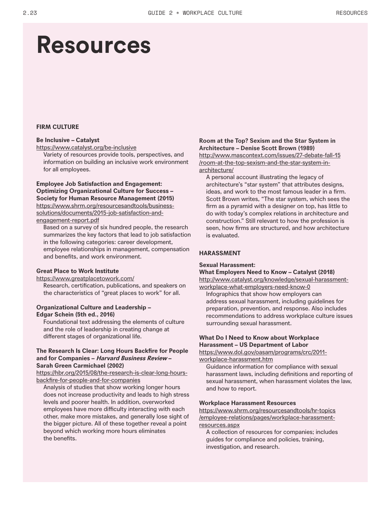### **Resources**

#### **FIRM CULTURE**

#### **Be Inclusive – Catalyst**

https://www.catalyst.org/be-inclusive

Variety of resources provide tools, perspectives, and information on building an inclusive work environment for all employees.

#### **Employee Job Satisfaction and Engagement: Optimizing Organizational Culture for Success – Society for Human Resource Management (2015)** https://www.shrm.org/resourcesandtools/businesssolutions/documents/2015-job-satisfaction-andengagement-report.pdf

Based on a survey of six hundred people, the research summarizes the key factors that lead to job satisfaction in the following categories: career development, employee relationships in management, compensation and benefits, and work environment.

#### **Great Place to Work Institute**

https://www.greatplacetowork.com/ Research, certification, publications, and speakers on the characteristics of "great places to work" for all.

#### **Organizational Culture and Leadership – Edgar Schein (5th ed., 2016)**

Foundational text addressing the elements of culture and the role of leadership in creating change at different stages of organizational life.

#### **The Research Is Clear: Long Hours Backfire for People and for Companies – Harvard Business Review – Sarah Green Carmichael (2002)**

https://hbr.org/2015/08/the-research-is-clear-long-hoursbackfire-for-people-and-for-companies

Analysis of studies that show working longer hours does not increase productivity and leads to high stress levels and poorer health. In addition, overworked employees have more difficulty interacting with each other, make more mistakes, and generally lose sight of the bigger picture. All of these together reveal a point beyond which working more hours eliminates the benefits.

#### **Room at the Top? Sexism and the Star System in Architecture – Denise Scott Brown (1989)**

http://www.mascontext.com/issues/27-debate-fall-15 /room-at-the-top-sexism-and-the-star-system-inarchitecture/

A personal account illustrating the legacy of architecture's "star system" that attributes designs, ideas, and work to the most famous leader in a firm. Scott Brown writes, "The star system, which sees the firm as a pyramid with a designer on top, has little to do with today's complex relations in architecture and construction." Still relevant to how the profession is seen, how firms are structured, and how architecture is evaluated.

#### **HARASSMENT**

#### **Sexual Harassment:**

#### **What Employers Need to Know – Catalyst (2018)**

http://www.catalyst.org/knowledge/sexual-harassmentworkplace-what-employers-need-know-0

Infographics that show how employers can address sexual harassment, including guidelines for preparation, prevention, and response. Also includes recommendations to address workplace culture issues surrounding sexual harassment.

#### **What Do I Need to Know about Workplace Harassment – US Department of Labor**

https://www.dol.gov/oasam/programs/crc/2011 workplace-harassment.htm

Guidance information for compliance with sexual harassment laws, including definitions and reporting of sexual harassment, when harassment violates the law, and how to report.

#### **Workplace Harassment Resources**

https://www.shrm.org/resourcesandtools/hr-topics /employee-relations/pages/workplace-harassmentresources.aspx

A collection of resources for companies; includes guides for compliance and policies, training, investigation, and research.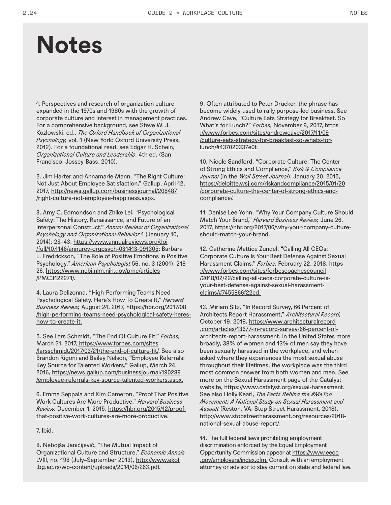### **Notes**

1. Perspectives and research of organization culture expanded in the 1970s and 1980s with the growth of corporate culture and interest in management practices. For a comprehensive background, see Steve W. J. Kozlowski, ed., *The Oxford Handbook of Organizational Psychology,* vol. 1 (New York: Oxford University Press, 2012). For a foundational read, see Edgar H. Schein, *Organizational Culture and Leadership,* 4th ed. (San Francisco: Jossey-Bass, 2010).

2. Jim Harter and Annamarie Mann, "The Right Culture: Not Just About Employee Satisfaction," Gallup, April 12, 2017, http://news.gallup.com/businessjournal/208487 /right-culture-not-employee-happiness.aspx.

3. Amy C. Edmondson and Zhike Lei, "Psychological Safety: The History, Renaissance, and Future of an Interpersonal Construct," *Annual Review of Organizational Psychology and Organizational Behavior* 1 (January 10, 2014): 23–43, https://www.annualreviews.org/doi /full/10.1146/annurev-orgpsych-031413-091305; Barbara L. Fredrickson, "The Role of Positive Emotions in Positive Psychology," *American Psychologist* 56, no. 3 (2001): 218– 26, https://www.ncbi.nlm.nih.gov/pmc/articles /PMC3122271/.

4. Laura Delizonna, "High-Performing Teams Need Psychological Safety. Here's How To Create It," *Harvard Business Review,* August 24, 2017, https://hbr.org/2017/08 /high-performing-teams-need-psychological-safety-hereshow-to-create-it.

5. See Lars Schmidt, "The End Of Culture Fit," *Forbes,* March 21, 2017, https://www.forbes.com/sites /larsschmidt/2017/03/21/the-end-of-culture-fit/. See also Brandon Rigoni and Bailey Nelson, "Employee Referrals: Key Source for Talented Workers," Gallup, March 24, 2016, https://news.gallup.com/businessjournal/190289 /employee-referrals-key-source-talented-workers.aspx.

6. Emma Seppala and Kim Cameron, "Proof That Positive Work Cultures Are More Productive," *Harvard Business Review,* December 1, 2015, https://hbr.org/2015/12/proofthat-positive-work-cultures-are-more-productive.

7. Ibid.

8. Nebojša Janićijević, "The Mutual Impact of Organizational Culture and Structure," *Economic Annals* LVIII, no. 198 (July-September 2013), http://www.ekof .bg.ac.rs/wp-content/uploads/2014/06/263.pdf.

9. Often attributed to Peter Drucker, the phrase has become widely used to rally purpose-led business. See Andrew Cave, "Culture Eats Strategy for Breakfast. So What's for Lunch?" *Forbes,* November 9, 2017, https ://www.forbes.com/sites/andrewcave/2017/11/09 /culture-eats-strategy-for-breakfast-so-whats-forlunch/#437020337e0f.

10. Nicole Sandford, "Corporate Culture: The Center of Strong Ethics and Compliance," *Risk & Compliance Journal* (in the *Wall Street Journal*), January 20, 2015, https://deloitte.wsj.com/riskandcompliance/2015/01/20 /corporate-culture-the-center-of-strong-ethics-andcompliance/.

11. Denise Lee Yohn, "Why Your Company Culture Should Match Your Brand," *Harvard Business Review,* June 26, 2017, https://hbr.org/2017/06/why-your-company-cultureshould-match-your-brand.

12. Catherine Mattice Zundel, "Calling All CEOs: Corporate Culture Is Your Best Defense Against Sexual Harassment Claims," *Forbes,* February 22, 2018, https ://www.forbes.com/sites/forbescoachescouncil /2018/02/22/calling-all-ceos-corporate-culture-isyour-best-defense-against-sexual-harassmentclaims/#7455866f22cd.

13. Miriam Sitz, "In Record Survey, 66 Percent of Architects Report Harassment," *Architectural Record,*  October 19, 2018, https://www.architecturalrecord .com/articles/13677-in-record-survey-66-percent-ofarchitects-report-harassment. In the United States more broadly, 38% of women and 13% of men say they have been sexually harassed in the workplace, and when asked where they experiences the most sexual abuse throughout their lifetimes, the workplace was the third most common answer from both women and men. See more on the Sexual Harassment page of the Catalyst website, https://www.catalyst.org/sexual-harassment. See also Holly Kearl, *The Facts Behind the #MeToo Movement: A National Study on Sexual Harassment and Assault* (Reston, VA: Stop Street Harassment, 2018), http://www.stopstreetharassment.org/resources/2018 national-sexual-abuse-report/.

14. The full federal laws prohibiting employment discrimination enforced by the Equal Employment Opportunity Commission appear at https://www.eeoc .gov/employers/index.cfm. Consult with an employment attorney or advisor to stay current on state and federal law.